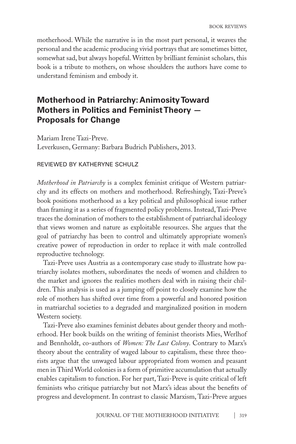motherhood. While the narrative is in the most part personal, it weaves the personal and the academic producing vivid portrays that are sometimes bitter, somewhat sad, but always hopeful. Written by brilliant feminist scholars, this book is a tribute to mothers, on whose shoulders the authors have come to understand feminism and embody it.

## **Motherhood in Patriarchy: Animosity Toward Mothers in Politics and Feminist Theory — Proposals for Change**

Mariam Irene Tazi-Preve. Leverkusen, Germany: Barbara Budrich Publishers, 2013.

## reviewed by katheryne schulz

*Motherhood in Patriarchy* is a complex feminist critique of Western patriarchy and its effects on mothers and motherhood. Refreshingly, Tazi-Preve's book positions motherhood as a key political and philosophical issue rather than framing it as a series of fragmented policy problems. Instead, Tazi-Preve traces the domination of mothers to the establishment of patriarchal ideology that views women and nature as exploitable resources. She argues that the goal of patriarchy has been to control and ultimately appropriate women's creative power of reproduction in order to replace it with male controlled reproductive technology.

Tazi-Preve uses Austria as a contemporary case study to illustrate how patriarchy isolates mothers, subordinates the needs of women and children to the market and ignores the realities mothers deal with in raising their children. This analysis is used as a jumping off point to closely examine how the role of mothers has shifted over time from a powerful and honored position in matriarchal societies to a degraded and marginalized position in modern Western society.

Tazi-Preve also examines feminist debates about gender theory and motherhood. Her book builds on the writing of feminist theorists Mies, Werlhof and Bennholdt, co-authors of *Women: The Last Colony*. Contrary to Marx's theory about the centrality of waged labour to capitalism, these three theorists argue that the unwaged labour appropriated from women and peasant men in Third World colonies is a form of primitive accumulation that actually enables capitalism to function. For her part, Tazi-Preve is quite critical of left feminists who critique patriarchy but not Marx's ideas about the benefits of progress and development. In contrast to classic Marxism, Tazi-Preve argues